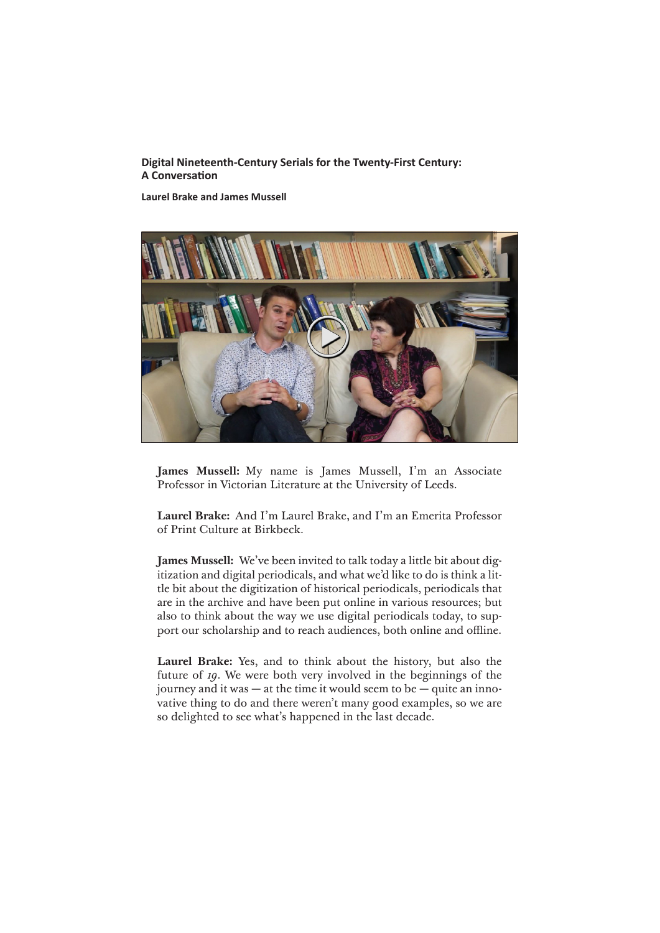# **Digital Nineteenth-Century Serials for the Twenty-First Century: A Conversation**

**Laurel Brake and James Mussell**



**James Mussell:** My name is James Mussell, I'm an Associate Professor in Victorian Literature at the University of Leeds.

**Laurel Brake:** And I'm Laurel Brake, and I'm an Emerita Professor of Print Culture at Birkbeck.

**James Mussell:** We've been invited to talk today a little bit about digitization and digital periodicals, and what we'd like to do is think a little bit about the digitization of historical periodicals, periodicals that are in the archive and have been put online in various resources; but also to think about the way we use digital periodicals today, to support our scholarship and to reach audiences, both online and offline.

**Laurel Brake:** Yes, and to think about the history, but also the future of *19*. We were both very involved in the beginnings of the journey and it was — at the time it would seem to be — quite an innovative thing to do and there weren't many good examples, so we are so delighted to see what's happened in the last decade.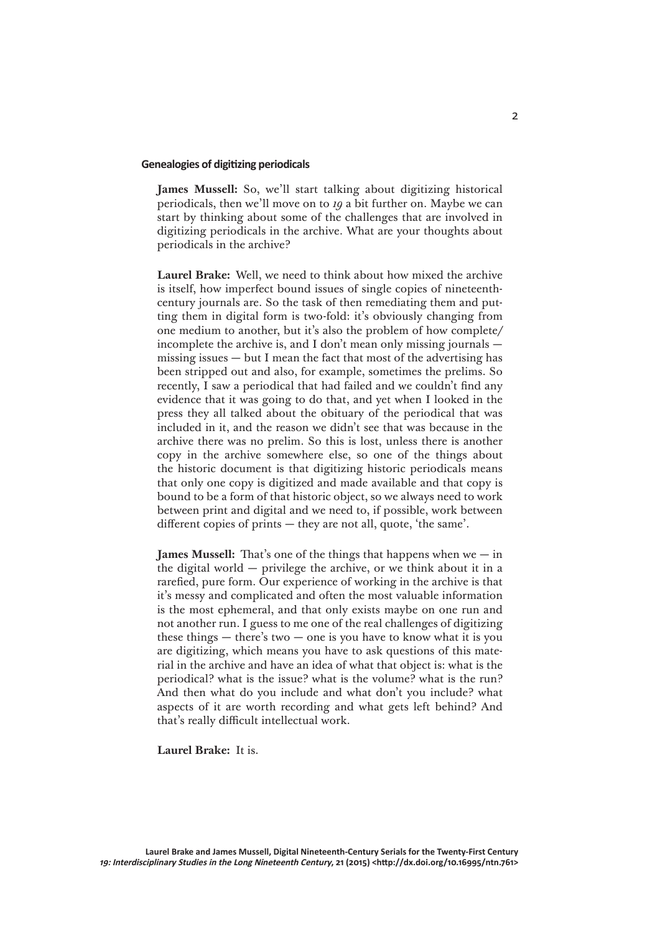#### **Genealogies of digitizing periodicals**

**James Mussell:** So, we'll start talking about digitizing historical periodicals, then we'll move on to *19* a bit further on. Maybe we can start by thinking about some of the challenges that are involved in digitizing periodicals in the archive. What are your thoughts about periodicals in the archive?

**Laurel Brake:** Well, we need to think about how mixed the archive is itself, how imperfect bound issues of single copies of nineteenthcentury journals are. So the task of then remediating them and putting them in digital form is two-fold: it's obviously changing from one medium to another, but it's also the problem of how complete/ incomplete the archive is, and I don't mean only missing journals missing issues — but I mean the fact that most of the advertising has been stripped out and also, for example, sometimes the prelims. So recently, I saw a periodical that had failed and we couldn't find any evidence that it was going to do that, and yet when I looked in the press they all talked about the obituary of the periodical that was included in it, and the reason we didn't see that was because in the archive there was no prelim. So this is lost, unless there is another copy in the archive somewhere else, so one of the things about the historic document is that digitizing historic periodicals means that only one copy is digitized and made available and that copy is bound to be a form of that historic object, so we always need to work between print and digital and we need to, if possible, work between different copies of prints — they are not all, quote, 'the same'.

**James Mussell:** That's one of the things that happens when we — in the digital world — privilege the archive, or we think about it in a rarefied, pure form. Our experience of working in the archive is that it's messy and complicated and often the most valuable information is the most ephemeral, and that only exists maybe on one run and not another run. I guess to me one of the real challenges of digitizing these things  $-$  there's two  $-$  one is you have to know what it is you are digitizing, which means you have to ask questions of this material in the archive and have an idea of what that object is: what is the periodical? what is the issue? what is the volume? what is the run? And then what do you include and what don't you include? what aspects of it are worth recording and what gets left behind? And that's really difficult intellectual work.

**Laurel Brake:** It is.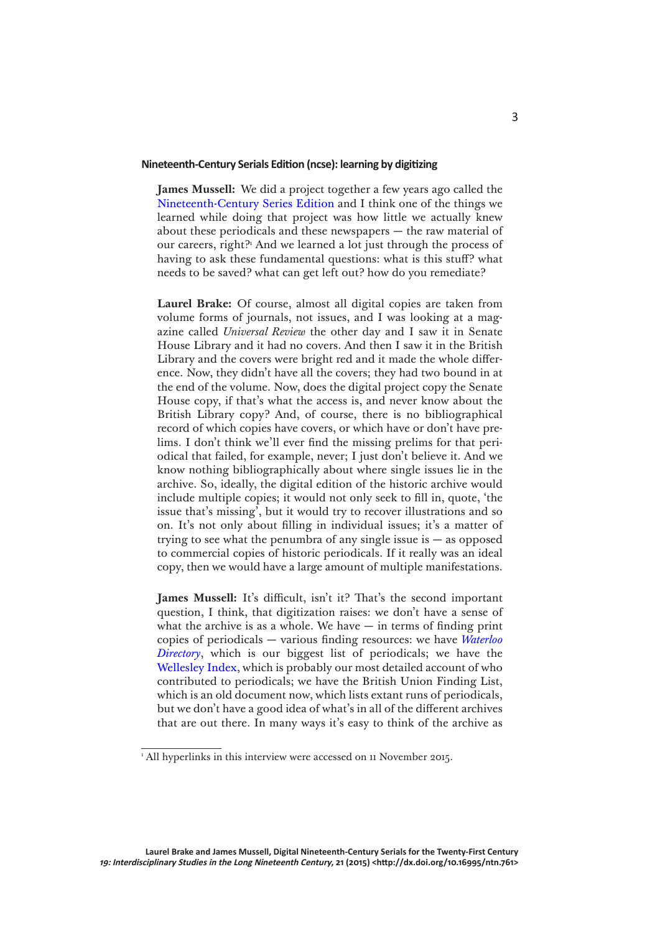### **Nineteenth-Century Serials Edition (ncse): learning by digitizing**

**James Mussell:** We did a project together a few years ago called the [Nineteenth-Century Series Edition](http://www.ncse.ac.uk/index.html) and I think one of the things we learned while doing that project was how little we actually knew about these periodicals and these newspapers — the raw material of our careers, right?<sup>1</sup> And we learned a lot just through the process of having to ask these fundamental questions: what is this stuff? what needs to be saved? what can get left out? how do you remediate?

**Laurel Brake:** Of course, almost all digital copies are taken from volume forms of journals, not issues, and I was looking at a magazine called *Universal Review* the other day and I saw it in Senate House Library and it had no covers. And then I saw it in the British Library and the covers were bright red and it made the whole difference. Now, they didn't have all the covers; they had two bound in at the end of the volume. Now, does the digital project copy the Senate House copy, if that's what the access is, and never know about the British Library copy? And, of course, there is no bibliographical record of which copies have covers, or which have or don't have prelims. I don't think we'll ever find the missing prelims for that periodical that failed, for example, never; I just don't believe it. And we know nothing bibliographically about where single issues lie in the archive. So, ideally, the digital edition of the historic archive would include multiple copies; it would not only seek to fill in, quote, 'the issue that's missing', but it would try to recover illustrations and so on. It's not only about filling in individual issues; it's a matter of trying to see what the penumbra of any single issue is  $-$  as opposed to commercial copies of historic periodicals. If it really was an ideal copy, then we would have a large amount of multiple manifestations.

**James Mussell:** It's difficult, isn't it? That's the second important question, I think, that digitization raises: we don't have a sense of what the archive is as a whole. We have  $-$  in terms of finding print copies of periodicals — various finding resources: we have *[Waterloo](http://www.victorianperiodicals.com)  [Directory](http://www.victorianperiodicals.com)*, which is our biggest list of periodicals; we have the [Wellesley Index,](http://wellesley.chadwyck.com/) which is probably our most detailed account of who contributed to periodicals; we have the British Union Finding List, which is an old document now, which lists extant runs of periodicals, but we don't have a good idea of what's in all of the different archives that are out there. In many ways it's easy to think of the archive as

<sup>1</sup> All hyperlinks in this interview were accessed on 11 November 2015.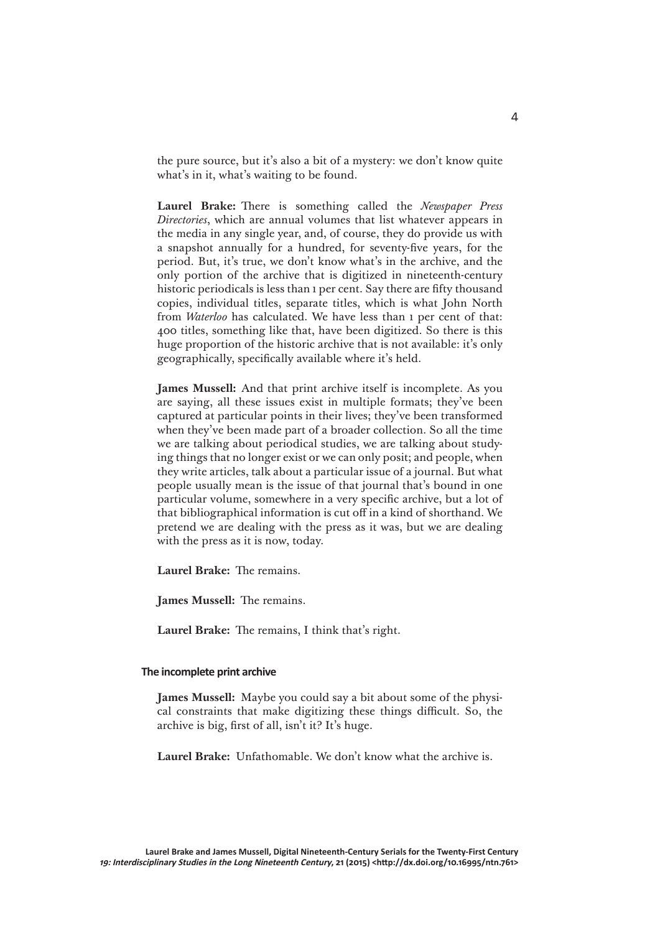the pure source, but it's also a bit of a mystery: we don't know quite what's in it, what's waiting to be found.

**Laurel Brake:** There is something called the *Newspaper Press Directories*, which are annual volumes that list whatever appears in the media in any single year, and, of course, they do provide us with a snapshot annually for a hundred, for seventy-five years, for the period. But, it's true, we don't know what's in the archive, and the only portion of the archive that is digitized in nineteenth-century historic periodicals is less than 1 per cent. Say there are fifty thousand copies, individual titles, separate titles, which is what John North from *Waterloo* has calculated. We have less than 1 per cent of that: 400 titles, something like that, have been digitized. So there is this huge proportion of the historic archive that is not available: it's only geographically, specifically available where it's held.

**James Mussell:** And that print archive itself is incomplete. As you are saying, all these issues exist in multiple formats; they've been captured at particular points in their lives; they've been transformed when they've been made part of a broader collection. So all the time we are talking about periodical studies, we are talking about studying things that no longer exist or we can only posit; and people, when they write articles, talk about a particular issue of a journal. But what people usually mean is the issue of that journal that's bound in one particular volume, somewhere in a very specific archive, but a lot of that bibliographical information is cut off in a kind of shorthand. We pretend we are dealing with the press as it was, but we are dealing with the press as it is now, today.

**Laurel Brake:** The remains.

**James Mussell:** The remains.

**Laurel Brake:** The remains, I think that's right.

### **The incomplete print archive**

**James Mussell:** Maybe you could say a bit about some of the physical constraints that make digitizing these things difficult. So, the archive is big, first of all, isn't it? It's huge.

**Laurel Brake:** Unfathomable. We don't know what the archive is.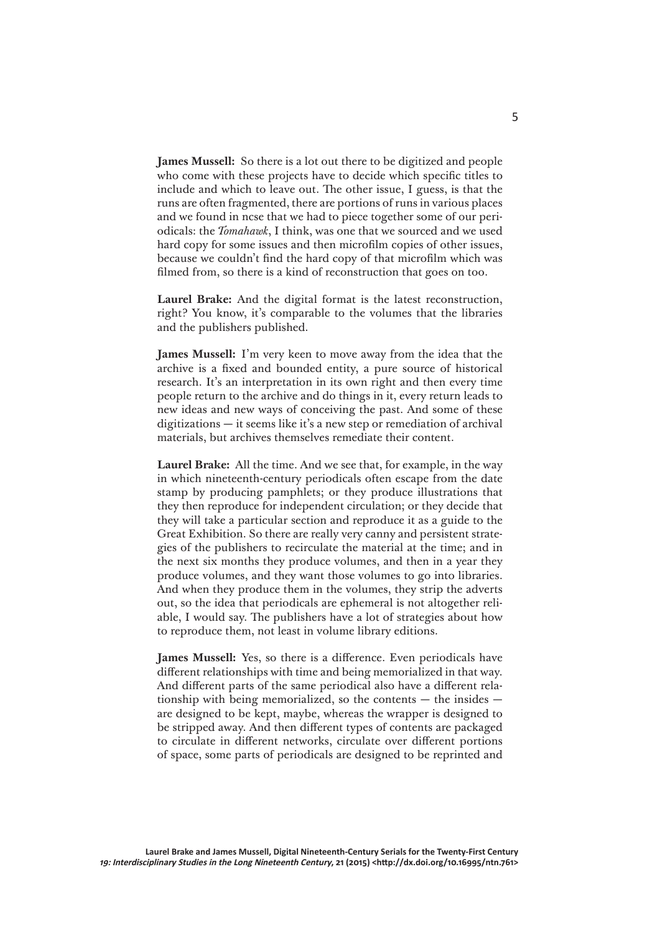**James Mussell:** So there is a lot out there to be digitized and people who come with these projects have to decide which specific titles to include and which to leave out. The other issue, I guess, is that the runs are often fragmented, there are portions of runs in various places and we found in ncse that we had to piece together some of our periodicals: the *Tomahawk*, I think, was one that we sourced and we used hard copy for some issues and then microfilm copies of other issues, because we couldn't find the hard copy of that microfilm which was filmed from, so there is a kind of reconstruction that goes on too.

**Laurel Brake:** And the digital format is the latest reconstruction, right? You know, it's comparable to the volumes that the libraries and the publishers published.

**James Mussell:** I'm very keen to move away from the idea that the archive is a fixed and bounded entity, a pure source of historical research. It's an interpretation in its own right and then every time people return to the archive and do things in it, every return leads to new ideas and new ways of conceiving the past. And some of these digitizations — it seems like it's a new step or remediation of archival materials, but archives themselves remediate their content.

**Laurel Brake:** All the time. And we see that, for example, in the way in which nineteenth-century periodicals often escape from the date stamp by producing pamphlets; or they produce illustrations that they then reproduce for independent circulation; or they decide that they will take a particular section and reproduce it as a guide to the Great Exhibition. So there are really very canny and persistent strategies of the publishers to recirculate the material at the time; and in the next six months they produce volumes, and then in a year they produce volumes, and they want those volumes to go into libraries. And when they produce them in the volumes, they strip the adverts out, so the idea that periodicals are ephemeral is not altogether reliable, I would say. The publishers have a lot of strategies about how to reproduce them, not least in volume library editions.

**James Mussell:** Yes, so there is a difference. Even periodicals have different relationships with time and being memorialized in that way. And different parts of the same periodical also have a different relationship with being memorialized, so the contents  $-$  the insides  $$ are designed to be kept, maybe, whereas the wrapper is designed to be stripped away. And then different types of contents are packaged to circulate in different networks, circulate over different portions of space, some parts of periodicals are designed to be reprinted and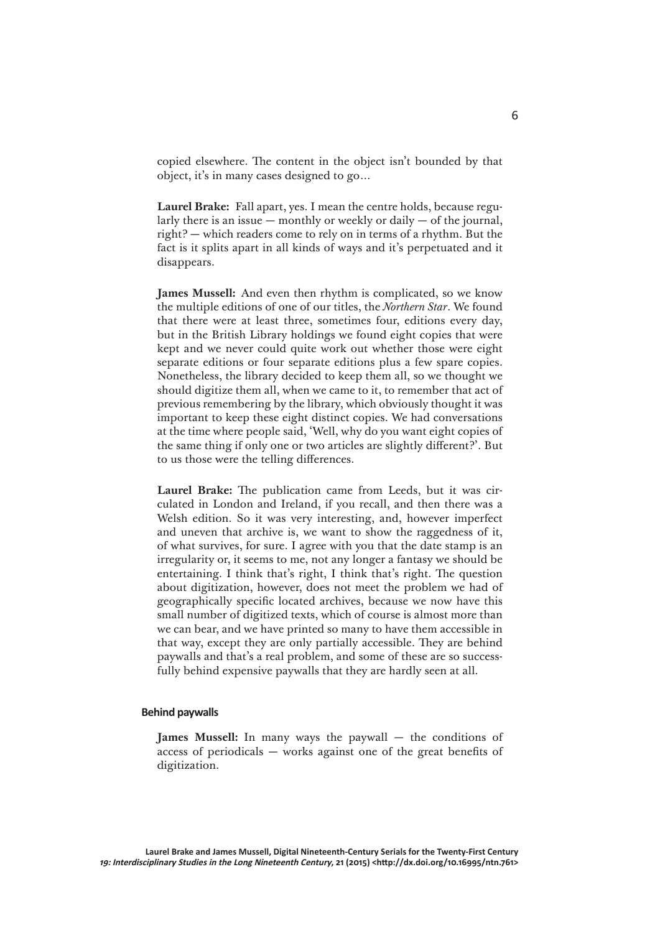copied elsewhere. The content in the object isn't bounded by that object, it's in many cases designed to go…

**Laurel Brake:** Fall apart, yes. I mean the centre holds, because regularly there is an issue  $-$  monthly or weekly or daily  $-$  of the journal, right? — which readers come to rely on in terms of a rhythm. But the fact is it splits apart in all kinds of ways and it's perpetuated and it disappears.

**James Mussell:** And even then rhythm is complicated, so we know the multiple editions of one of our titles, the *Northern Star*. We found that there were at least three, sometimes four, editions every day, but in the British Library holdings we found eight copies that were kept and we never could quite work out whether those were eight separate editions or four separate editions plus a few spare copies. Nonetheless, the library decided to keep them all, so we thought we should digitize them all, when we came to it, to remember that act of previous remembering by the library, which obviously thought it was important to keep these eight distinct copies. We had conversations at the time where people said, 'Well, why do you want eight copies of the same thing if only one or two articles are slightly different?'. But to us those were the telling differences.

**Laurel Brake:** The publication came from Leeds, but it was circulated in London and Ireland, if you recall, and then there was a Welsh edition. So it was very interesting, and, however imperfect and uneven that archive is, we want to show the raggedness of it, of what survives, for sure. I agree with you that the date stamp is an irregularity or, it seems to me, not any longer a fantasy we should be entertaining. I think that's right, I think that's right. The question about digitization, however, does not meet the problem we had of geographically specific located archives, because we now have this small number of digitized texts, which of course is almost more than we can bear, and we have printed so many to have them accessible in that way, except they are only partially accessible. They are behind paywalls and that's a real problem, and some of these are so successfully behind expensive paywalls that they are hardly seen at all.

### **Behind paywalls**

**James Mussell:** In many ways the paywall — the conditions of access of periodicals — works against one of the great benefits of digitization.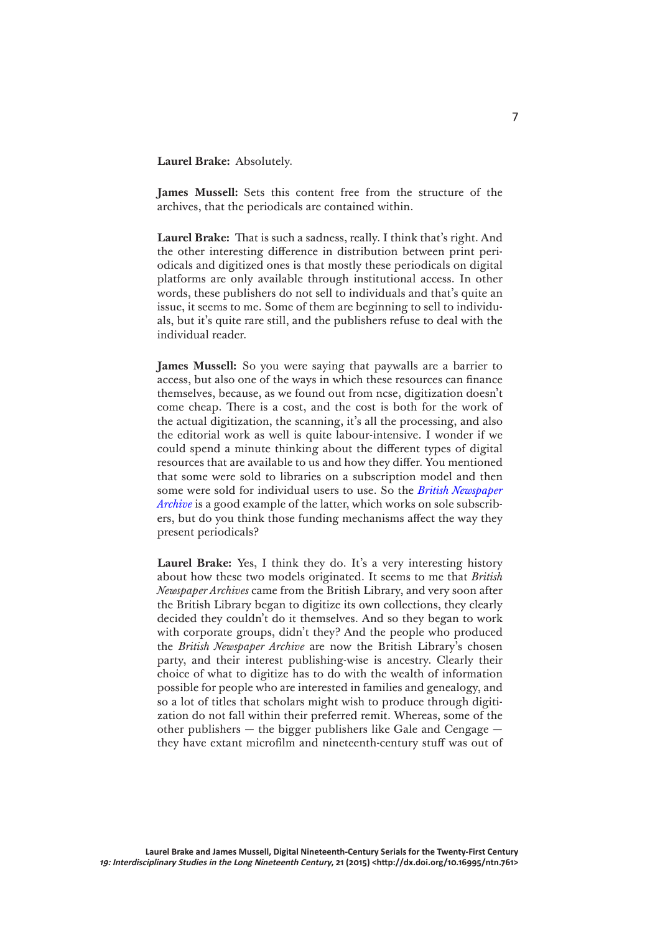**Laurel Brake:** Absolutely.

**James Mussell:** Sets this content free from the structure of the archives, that the periodicals are contained within.

**Laurel Brake:** That is such a sadness, really. I think that's right. And the other interesting difference in distribution between print periodicals and digitized ones is that mostly these periodicals on digital platforms are only available through institutional access. In other words, these publishers do not sell to individuals and that's quite an issue, it seems to me. Some of them are beginning to sell to individuals, but it's quite rare still, and the publishers refuse to deal with the individual reader.

**James Mussell:** So you were saying that paywalls are a barrier to access, but also one of the ways in which these resources can finance themselves, because, as we found out from ncse, digitization doesn't come cheap. There is a cost, and the cost is both for the work of the actual digitization, the scanning, it's all the processing, and also the editorial work as well is quite labour-intensive. I wonder if we could spend a minute thinking about the different types of digital resources that are available to us and how they differ. You mentioned that some were sold to libraries on a subscription model and then some were sold for individual users to use. So the *[British Newspaper](http://www.britishnewspaperarchive.co.uk/)  [Archive](http://www.britishnewspaperarchive.co.uk/)* is a good example of the latter, which works on sole subscribers, but do you think those funding mechanisms affect the way they present periodicals?

**Laurel Brake:** Yes, I think they do. It's a very interesting history about how these two models originated. It seems to me that *British Newspaper Archives* came from the British Library, and very soon after the British Library began to digitize its own collections, they clearly decided they couldn't do it themselves. And so they began to work with corporate groups, didn't they? And the people who produced the *British Newspaper Archive* are now the British Library's chosen party, and their interest publishing-wise is ancestry. Clearly their choice of what to digitize has to do with the wealth of information possible for people who are interested in families and genealogy, and so a lot of titles that scholars might wish to produce through digitization do not fall within their preferred remit. Whereas, some of the other publishers — the bigger publishers like Gale and Cengage they have extant microfilm and nineteenth-century stuff was out of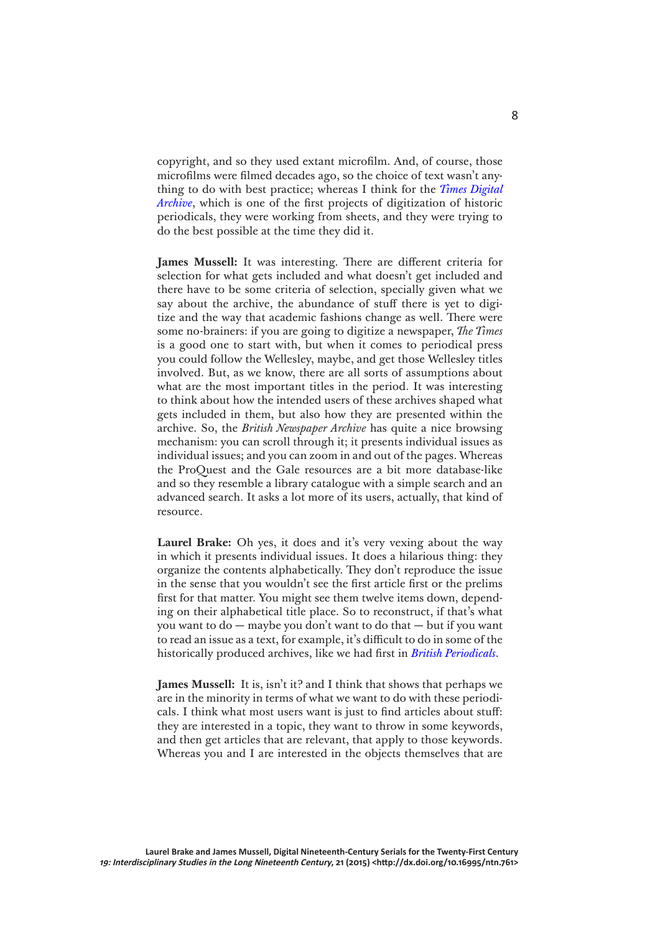copyright, and so they used extant microfilm. And, of course, those microfilms were filmed decades ago, so the choice of text wasn't anything to do with best practice; whereas I think for the *[Times Digital](http://gale.cengage.co.uk/times.aspx/)  [Archive](http://gale.cengage.co.uk/times.aspx/)*, which is one of the first projects of digitization of historic periodicals, they were working from sheets, and they were trying to do the best possible at the time they did it.

**James Mussell:** It was interesting. There are different criteria for selection for what gets included and what doesn't get included and there have to be some criteria of selection, specially given what we say about the archive, the abundance of stuff there is yet to digitize and the way that academic fashions change as well. There were some no-brainers: if you are going to digitize a newspaper, *The Times* is a good one to start with, but when it comes to periodical press you could follow the Wellesley, maybe, and get those Wellesley titles involved. But, as we know, there are all sorts of assumptions about what are the most important titles in the period. It was interesting to think about how the intended users of these archives shaped what gets included in them, but also how they are presented within the archive. So, the *British Newspaper Archive* has quite a nice browsing mechanism: you can scroll through it; it presents individual issues as individual issues; and you can zoom in and out of the pages. Whereas the ProQuest and the Gale resources are a bit more database-like and so they resemble a library catalogue with a simple search and an advanced search. It asks a lot more of its users, actually, that kind of resource.

Laurel Brake: Oh yes, it does and it's very vexing about the way in which it presents individual issues. It does a hilarious thing: they organize the contents alphabetically. They don't reproduce the issue in the sense that you wouldn't see the first article first or the prelims first for that matter. You might see them twelve items down, depending on their alphabetical title place. So to reconstruct, if that's what you want to do — maybe you don't want to do that — but if you want to read an issue as a text, for example, it's difficult to do in some of the historically produced archives, like we had first in *[British Periodicals](http://www.proquest.com/products-services/british_periodicals.html)*.

**James Mussell:** It is, isn't it? and I think that shows that perhaps we are in the minority in terms of what we want to do with these periodicals. I think what most users want is just to find articles about stuff: they are interested in a topic, they want to throw in some keywords, and then get articles that are relevant, that apply to those keywords. Whereas you and I are interested in the objects themselves that are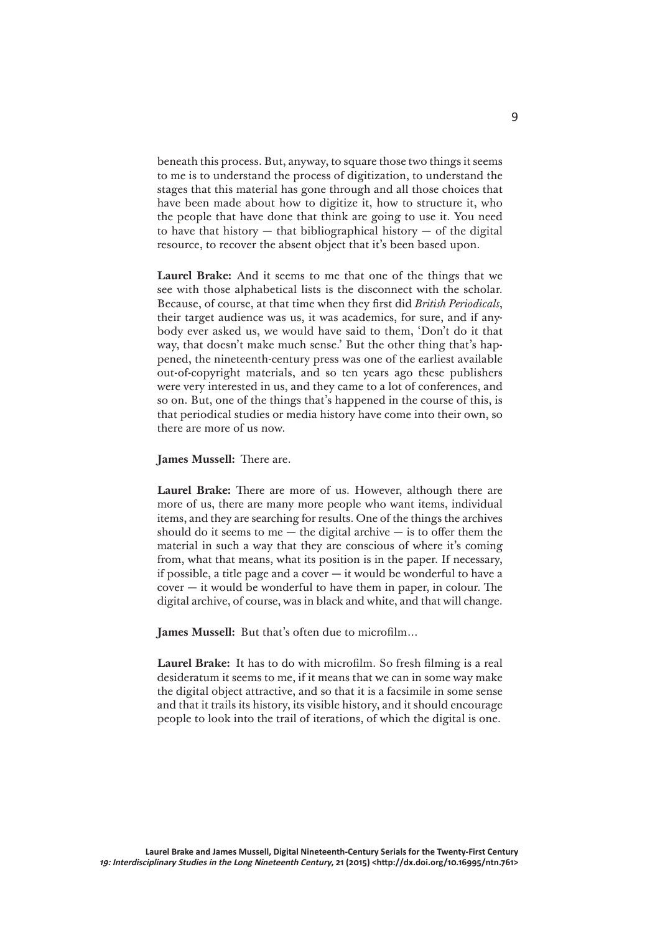beneath this process. But, anyway, to square those two things it seems to me is to understand the process of digitization, to understand the stages that this material has gone through and all those choices that have been made about how to digitize it, how to structure it, who the people that have done that think are going to use it. You need to have that history  $-$  that bibliographical history  $-$  of the digital resource, to recover the absent object that it's been based upon.

**Laurel Brake:** And it seems to me that one of the things that we see with those alphabetical lists is the disconnect with the scholar. Because, of course, at that time when they first did *British Periodicals*, their target audience was us, it was academics, for sure, and if anybody ever asked us, we would have said to them, 'Don't do it that way, that doesn't make much sense.' But the other thing that's happened, the nineteenth-century press was one of the earliest available out-of-copyright materials, and so ten years ago these publishers were very interested in us, and they came to a lot of conferences, and so on. But, one of the things that's happened in the course of this, is that periodical studies or media history have come into their own, so there are more of us now.

**James Mussell:** There are.

**Laurel Brake:** There are more of us. However, although there are more of us, there are many more people who want items, individual items, and they are searching for results. One of the things the archives should do it seems to me  $-$  the digital archive  $-$  is to offer them the material in such a way that they are conscious of where it's coming from, what that means, what its position is in the paper. If necessary, if possible, a title page and a cover  $-$  it would be wonderful to have a  $cover - it$  would be wonderful to have them in paper, in colour. The digital archive, of course, was in black and white, and that will change.

**James Mussell:** But that's often due to microfilm…

**Laurel Brake:** It has to do with microfilm. So fresh filming is a real desideratum it seems to me, if it means that we can in some way make the digital object attractive, and so that it is a facsimile in some sense and that it trails its history, its visible history, and it should encourage people to look into the trail of iterations, of which the digital is one.

9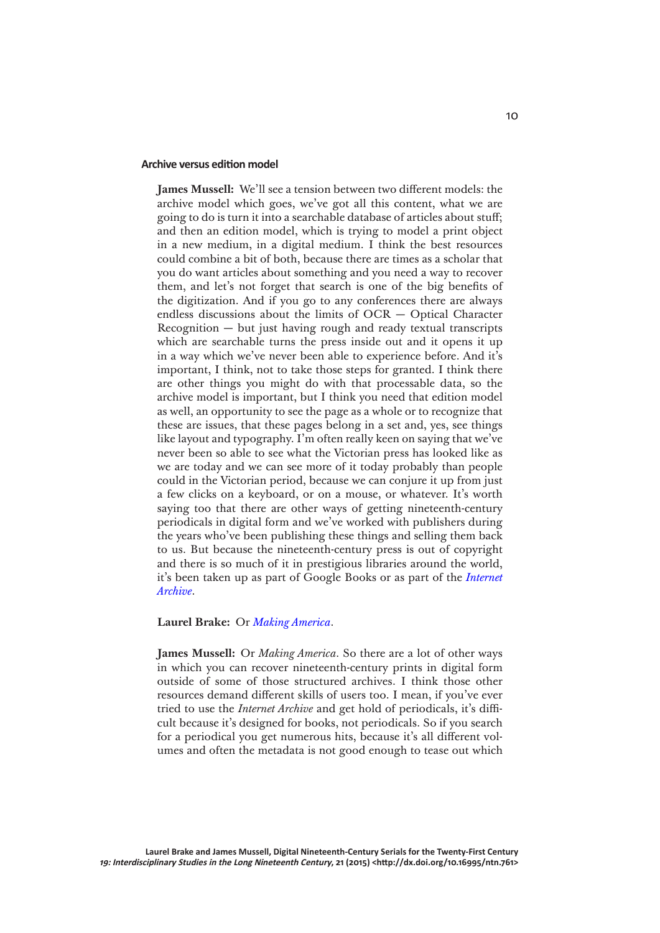### **Archive versus edition model**

**James Mussell:** We'll see a tension between two different models: the archive model which goes, we've got all this content, what we are going to do is turn it into a searchable database of articles about stuff; and then an edition model, which is trying to model a print object in a new medium, in a digital medium. I think the best resources could combine a bit of both, because there are times as a scholar that you do want articles about something and you need a way to recover them, and let's not forget that search is one of the big benefits of the digitization. And if you go to any conferences there are always endless discussions about the limits of OCR — Optical Character Recognition — but just having rough and ready textual transcripts which are searchable turns the press inside out and it opens it up in a way which we've never been able to experience before. And it's important, I think, not to take those steps for granted. I think there are other things you might do with that processable data, so the archive model is important, but I think you need that edition model as well, an opportunity to see the page as a whole or to recognize that these are issues, that these pages belong in a set and, yes, see things like layout and typography. I'm often really keen on saying that we've never been so able to see what the Victorian press has looked like as we are today and we can see more of it today probably than people could in the Victorian period, because we can conjure it up from just a few clicks on a keyboard, or on a mouse, or whatever. It's worth saying too that there are other ways of getting nineteenth-century periodicals in digital form and we've worked with publishers during the years who've been publishing these things and selling them back to us. But because the nineteenth-century press is out of copyright and there is so much of it in prestigious libraries around the world, it's been taken up as part of Google Books or as part of the *[Internet](https://archive.org/)  [Archive](https://archive.org/)*.

## **Laurel Brake:** Or *[Making America](http://ebooks.library.cornell.edu/m/moa/)*.

**James Mussell:** Or *Making America*. So there are a lot of other ways in which you can recover nineteenth-century prints in digital form outside of some of those structured archives. I think those other resources demand different skills of users too. I mean, if you've ever tried to use the *Internet Archive* and get hold of periodicals, it's difficult because it's designed for books, not periodicals. So if you search for a periodical you get numerous hits, because it's all different volumes and often the metadata is not good enough to tease out which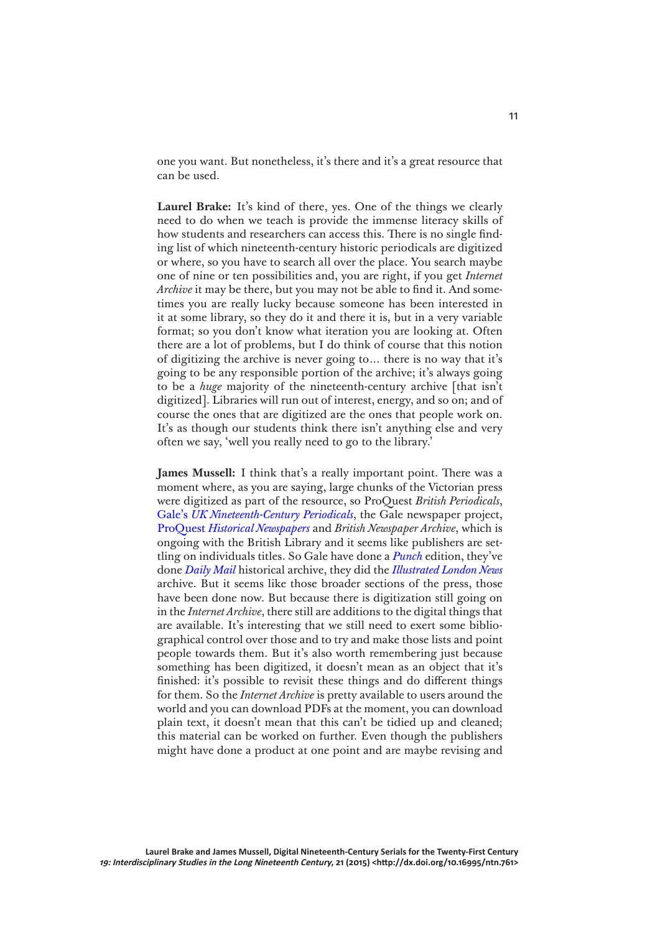one you want. But nonetheless, it's there and it's a great resource that can be used.

**Laurel Brake:** It's kind of there, yes. One of the things we clearly need to do when we teach is provide the immense literacy skills of how students and researchers can access this. There is no single finding list of which nineteenth-century historic periodicals are digitized or where, so you have to search all over the place. You search maybe one of nine or ten possibilities and, you are right, if you get *Internet Archive* it may be there, but you may not be able to find it. And sometimes you are really lucky because someone has been interested in it at some library, so they do it and there it is, but in a very variable format; so you don't know what iteration you are looking at. Often there are a lot of problems, but I do think of course that this notion of digitizing the archive is never going to… there is no way that it's going to be any responsible portion of the archive; it's always going to be a *huge* majority of the nineteenth-century archive [that isn't digitized]. Libraries will run out of interest, energy, and so on; and of course the ones that are digitized are the ones that people work on. It's as though our students think there isn't anything else and very often we say, 'well you really need to go to the library.'

**James Mussell:** I think that's a really important point. There was a moment where, as you are saying, large chunks of the Victorian press were digitized as part of the resource, so ProQuest *British Periodicals*, Gale's *[UK Nineteenth-Century Periodicals](http://gale.cengage.co.uk/product-highlights/history/19th-century-uk-periodicals-parts-1-and-2.aspx)*, the Gale newspaper project, ProQuest *[Historical Newspapers](http://www.proquest.com/products-services/pq-hist-news.html)* and *British Newspaper Archive*, which is ongoing with the British Library and it seems like publishers are settling on individuals titles. So Gale have done a *[Punch](http://gale.cengage.co.uk/punch-historical-archive.aspx)* edition, they've done *[Daily Mail](http://gale.cengage.co.uk/daily-mail-historical-archive.aspx)* historical archive, they did the *[Illustrated London News](http://gale.cengage.co.uk/product-highlights/history/illustrated-london-news.aspx)* archive. But it seems like those broader sections of the press, those have been done now. But because there is digitization still going on in the *Internet Archive*, there still are additions to the digital things that are available. It's interesting that we still need to exert some bibliographical control over those and to try and make those lists and point people towards them. But it's also worth remembering just because something has been digitized, it doesn't mean as an object that it's finished: it's possible to revisit these things and do different things for them. So the *Internet Archive* is pretty available to users around the world and you can download PDFs at the moment, you can download plain text, it doesn't mean that this can't be tidied up and cleaned; this material can be worked on further. Even though the publishers might have done a product at one point and are maybe revising and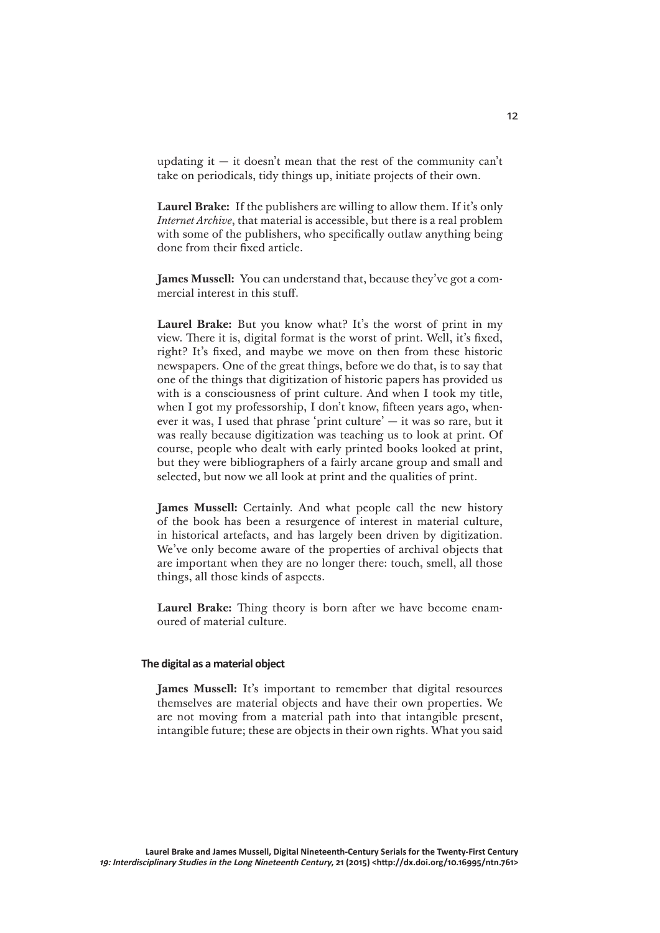updating it  $-$  it doesn't mean that the rest of the community can't take on periodicals, tidy things up, initiate projects of their own.

**Laurel Brake:** If the publishers are willing to allow them. If it's only *Internet Archive*, that material is accessible, but there is a real problem with some of the publishers, who specifically outlaw anything being done from their fixed article.

**James Mussell:** You can understand that, because they've got a commercial interest in this stuff.

**Laurel Brake:** But you know what? It's the worst of print in my view. There it is, digital format is the worst of print. Well, it's fixed, right? It's fixed, and maybe we move on then from these historic newspapers. One of the great things, before we do that, is to say that one of the things that digitization of historic papers has provided us with is a consciousness of print culture. And when I took my title, when I got my professorship, I don't know, fifteen years ago, whenever it was, I used that phrase 'print culture' — it was so rare, but it was really because digitization was teaching us to look at print. Of course, people who dealt with early printed books looked at print, but they were bibliographers of a fairly arcane group and small and selected, but now we all look at print and the qualities of print.

**James Mussell:** Certainly. And what people call the new history of the book has been a resurgence of interest in material culture, in historical artefacts, and has largely been driven by digitization. We've only become aware of the properties of archival objects that are important when they are no longer there: touch, smell, all those things, all those kinds of aspects.

**Laurel Brake:** Thing theory is born after we have become enamoured of material culture.

### **The digital as a material object**

**James Mussell:** It's important to remember that digital resources themselves are material objects and have their own properties. We are not moving from a material path into that intangible present, intangible future; these are objects in their own rights. What you said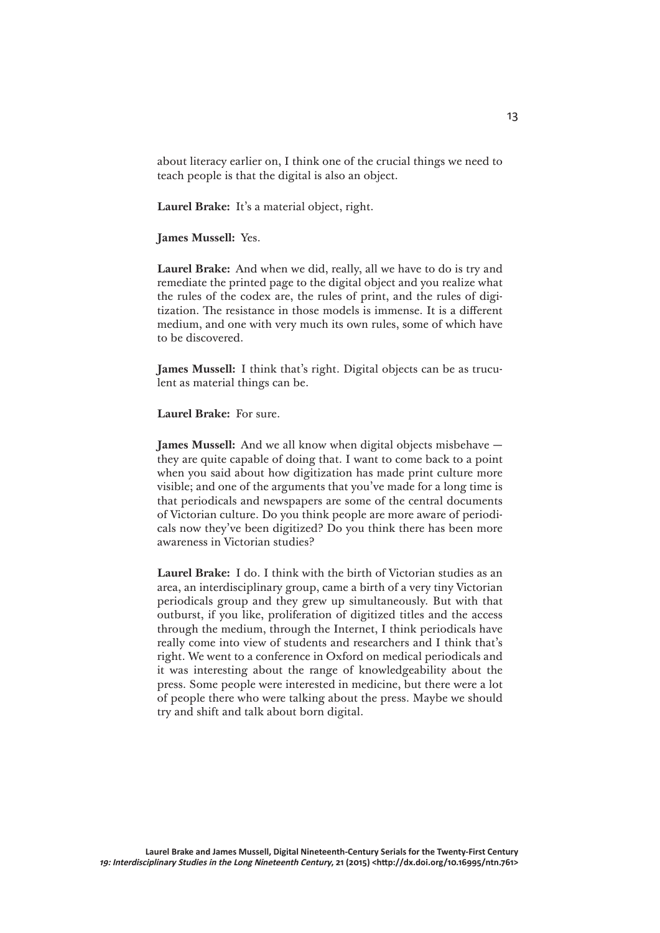about literacy earlier on, I think one of the crucial things we need to teach people is that the digital is also an object.

**Laurel Brake:** It's a material object, right.

## **James Mussell:** Yes.

**Laurel Brake:** And when we did, really, all we have to do is try and remediate the printed page to the digital object and you realize what the rules of the codex are, the rules of print, and the rules of digitization. The resistance in those models is immense. It is a different medium, and one with very much its own rules, some of which have to be discovered.

**James Mussell:** I think that's right. Digital objects can be as truculent as material things can be.

**Laurel Brake:** For sure.

**James Mussell:** And we all know when digital objects misbehave they are quite capable of doing that. I want to come back to a point when you said about how digitization has made print culture more visible; and one of the arguments that you've made for a long time is that periodicals and newspapers are some of the central documents of Victorian culture. Do you think people are more aware of periodicals now they've been digitized? Do you think there has been more awareness in Victorian studies?

**Laurel Brake:** I do. I think with the birth of Victorian studies as an area, an interdisciplinary group, came a birth of a very tiny Victorian periodicals group and they grew up simultaneously. But with that outburst, if you like, proliferation of digitized titles and the access through the medium, through the Internet, I think periodicals have really come into view of students and researchers and I think that's right. We went to a conference in Oxford on medical periodicals and it was interesting about the range of knowledgeability about the press. Some people were interested in medicine, but there were a lot of people there who were talking about the press. Maybe we should try and shift and talk about born digital.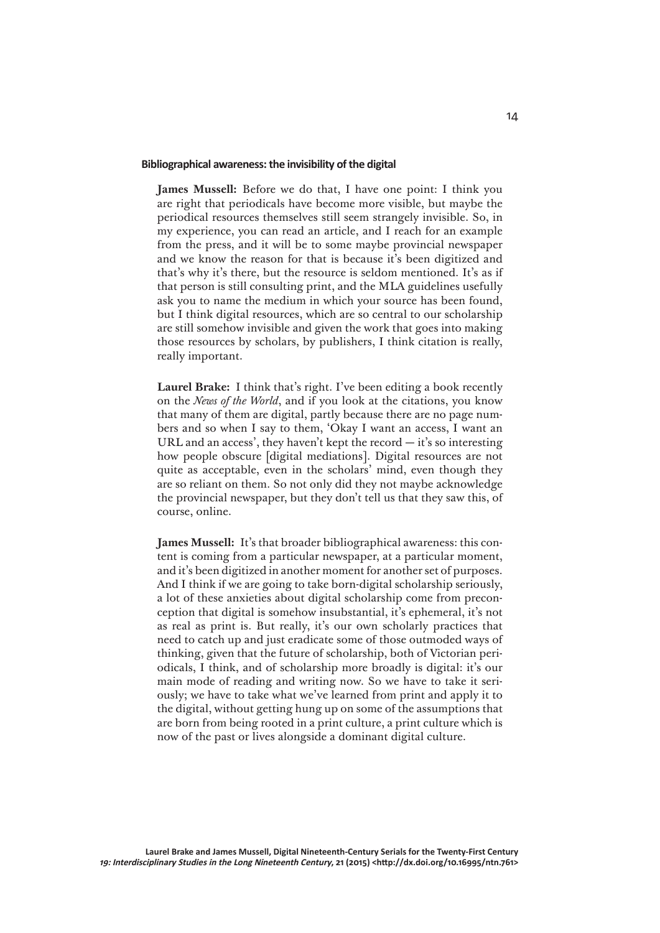#### **Bibliographical awareness: the invisibility of the digital**

**James Mussell:** Before we do that, I have one point: I think you are right that periodicals have become more visible, but maybe the periodical resources themselves still seem strangely invisible. So, in my experience, you can read an article, and I reach for an example from the press, and it will be to some maybe provincial newspaper and we know the reason for that is because it's been digitized and that's why it's there, but the resource is seldom mentioned. It's as if that person is still consulting print, and the MLA guidelines usefully ask you to name the medium in which your source has been found, but I think digital resources, which are so central to our scholarship are still somehow invisible and given the work that goes into making those resources by scholars, by publishers, I think citation is really, really important.

**Laurel Brake:** I think that's right. I've been editing a book recently on the *News of the World*, and if you look at the citations, you know that many of them are digital, partly because there are no page numbers and so when I say to them, 'Okay I want an access, I want an URL and an access', they haven't kept the record — it's so interesting how people obscure [digital mediations]. Digital resources are not quite as acceptable, even in the scholars' mind, even though they are so reliant on them. So not only did they not maybe acknowledge the provincial newspaper, but they don't tell us that they saw this, of course, online.

**James Mussell:** It's that broader bibliographical awareness: this content is coming from a particular newspaper, at a particular moment, and it's been digitized in another moment for another set of purposes. And I think if we are going to take born-digital scholarship seriously, a lot of these anxieties about digital scholarship come from preconception that digital is somehow insubstantial, it's ephemeral, it's not as real as print is. But really, it's our own scholarly practices that need to catch up and just eradicate some of those outmoded ways of thinking, given that the future of scholarship, both of Victorian periodicals, I think, and of scholarship more broadly is digital: it's our main mode of reading and writing now. So we have to take it seriously; we have to take what we've learned from print and apply it to the digital, without getting hung up on some of the assumptions that are born from being rooted in a print culture, a print culture which is now of the past or lives alongside a dominant digital culture.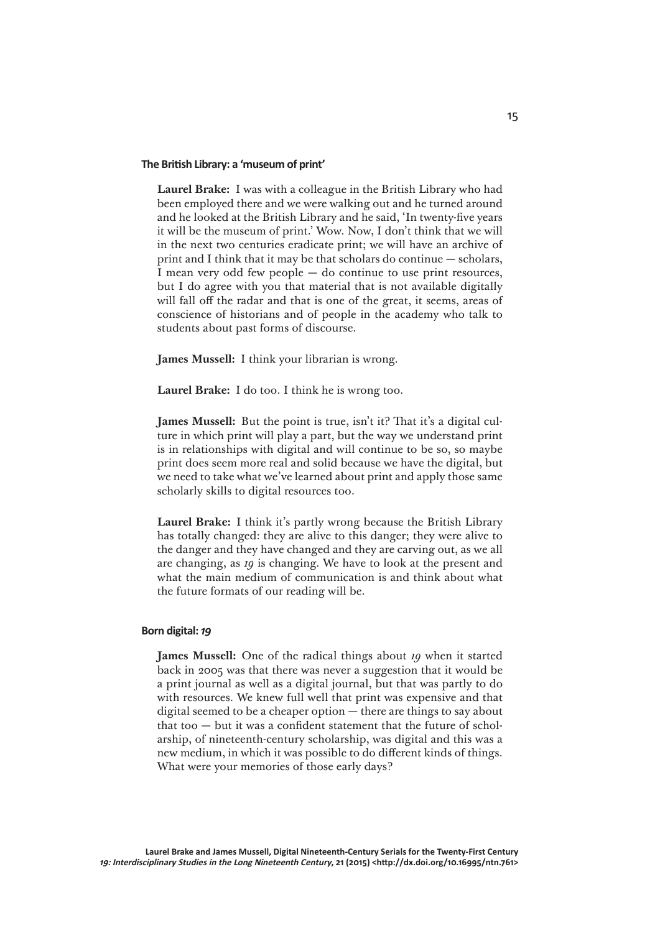### **The British Library: a 'museum of print'**

**Laurel Brake:** I was with a colleague in the British Library who had been employed there and we were walking out and he turned around and he looked at the British Library and he said, 'In twenty-five years it will be the museum of print.' Wow. Now, I don't think that we will in the next two centuries eradicate print; we will have an archive of print and I think that it may be that scholars do continue — scholars, I mean very odd few people — do continue to use print resources, but I do agree with you that material that is not available digitally will fall off the radar and that is one of the great, it seems, areas of conscience of historians and of people in the academy who talk to students about past forms of discourse.

**James Mussell:** I think your librarian is wrong.

**Laurel Brake:** I do too. I think he is wrong too.

**James Mussell:** But the point is true, isn't it? That it's a digital culture in which print will play a part, but the way we understand print is in relationships with digital and will continue to be so, so maybe print does seem more real and solid because we have the digital, but we need to take what we've learned about print and apply those same scholarly skills to digital resources too.

**Laurel Brake:** I think it's partly wrong because the British Library has totally changed: they are alive to this danger; they were alive to the danger and they have changed and they are carving out, as we all are changing, as *19* is changing. We have to look at the present and what the main medium of communication is and think about what the future formats of our reading will be.

#### **Born digital:** *19*

**James Mussell:** One of the radical things about *19* when it started back in 2005 was that there was never a suggestion that it would be a print journal as well as a digital journal, but that was partly to do with resources. We knew full well that print was expensive and that digital seemed to be a cheaper option — there are things to say about that too — but it was a confident statement that the future of scholarship, of nineteenth-century scholarship, was digital and this was a new medium, in which it was possible to do different kinds of things. What were your memories of those early days?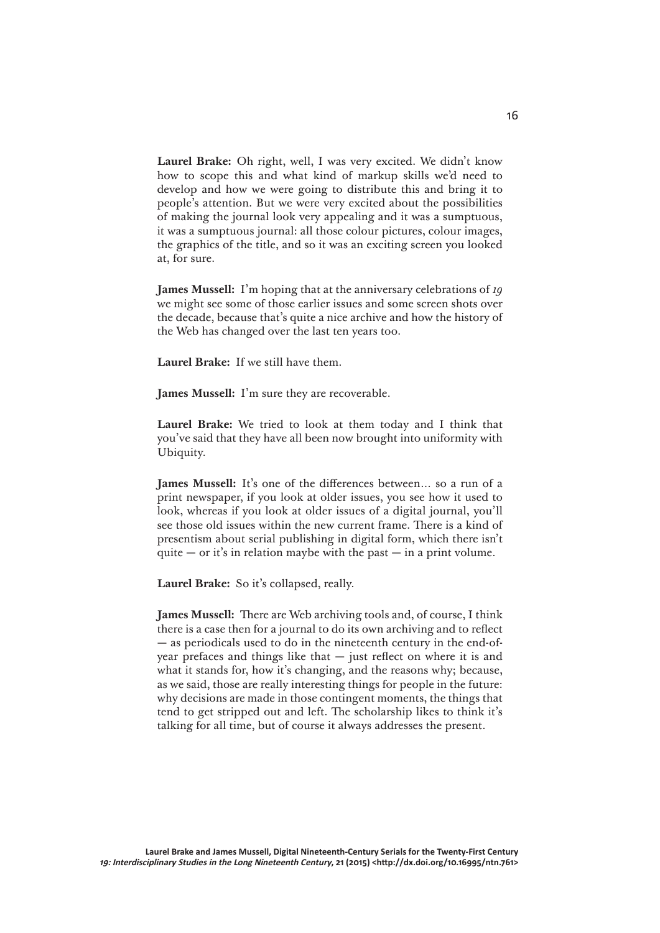**Laurel Brake:** Oh right, well, I was very excited. We didn't know how to scope this and what kind of markup skills we'd need to develop and how we were going to distribute this and bring it to people's attention. But we were very excited about the possibilities of making the journal look very appealing and it was a sumptuous, it was a sumptuous journal: all those colour pictures, colour images, the graphics of the title, and so it was an exciting screen you looked at, for sure.

**James Mussell:** I'm hoping that at the anniversary celebrations of *19* we might see some of those earlier issues and some screen shots over the decade, because that's quite a nice archive and how the history of the Web has changed over the last ten years too.

**Laurel Brake:** If we still have them.

**James Mussell:** I'm sure they are recoverable.

**Laurel Brake:** We tried to look at them today and I think that you've said that they have all been now brought into uniformity with Ubiquity.

**James Mussell:** It's one of the differences between… so a run of a print newspaper, if you look at older issues, you see how it used to look, whereas if you look at older issues of a digital journal, you'll see those old issues within the new current frame. There is a kind of presentism about serial publishing in digital form, which there isn't quite  $-$  or it's in relation maybe with the past  $-$  in a print volume.

**Laurel Brake:** So it's collapsed, really.

**James Mussell:** There are Web archiving tools and, of course, I think there is a case then for a journal to do its own archiving and to reflect — as periodicals used to do in the nineteenth century in the end-ofyear prefaces and things like that  $-$  just reflect on where it is and what it stands for, how it's changing, and the reasons why; because, as we said, those are really interesting things for people in the future: why decisions are made in those contingent moments, the things that tend to get stripped out and left. The scholarship likes to think it's talking for all time, but of course it always addresses the present.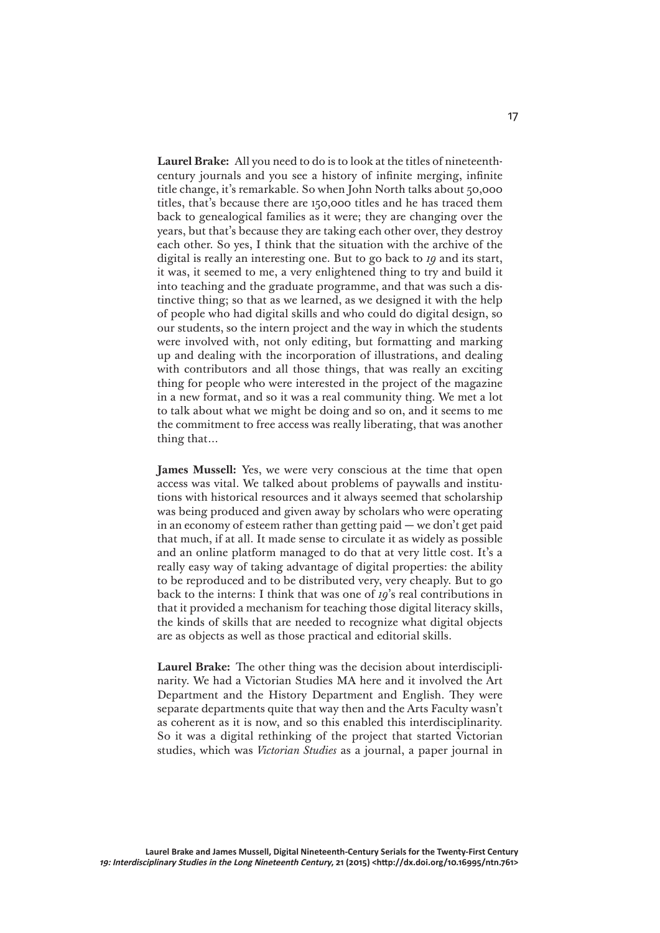**Laurel Brake:** All you need to do is to look at the titles of nineteenthcentury journals and you see a history of infinite merging, infinite title change, it's remarkable. So when John North talks about 50,000 titles, that's because there are 150,000 titles and he has traced them back to genealogical families as it were; they are changing over the years, but that's because they are taking each other over, they destroy each other. So yes, I think that the situation with the archive of the digital is really an interesting one. But to go back to *19* and its start, it was, it seemed to me, a very enlightened thing to try and build it into teaching and the graduate programme, and that was such a distinctive thing; so that as we learned, as we designed it with the help of people who had digital skills and who could do digital design, so our students, so the intern project and the way in which the students were involved with, not only editing, but formatting and marking up and dealing with the incorporation of illustrations, and dealing with contributors and all those things, that was really an exciting thing for people who were interested in the project of the magazine in a new format, and so it was a real community thing. We met a lot to talk about what we might be doing and so on, and it seems to me the commitment to free access was really liberating, that was another thing that…

**James Mussell:** Yes, we were very conscious at the time that open access was vital. We talked about problems of paywalls and institutions with historical resources and it always seemed that scholarship was being produced and given away by scholars who were operating in an economy of esteem rather than getting paid — we don't get paid that much, if at all. It made sense to circulate it as widely as possible and an online platform managed to do that at very little cost. It's a really easy way of taking advantage of digital properties: the ability to be reproduced and to be distributed very, very cheaply. But to go back to the interns: I think that was one of *19*'s real contributions in that it provided a mechanism for teaching those digital literacy skills, the kinds of skills that are needed to recognize what digital objects are as objects as well as those practical and editorial skills.

**Laurel Brake:** The other thing was the decision about interdisciplinarity. We had a Victorian Studies MA here and it involved the Art Department and the History Department and English. They were separate departments quite that way then and the Arts Faculty wasn't as coherent as it is now, and so this enabled this interdisciplinarity. So it was a digital rethinking of the project that started Victorian studies, which was *Victorian Studies* as a journal, a paper journal in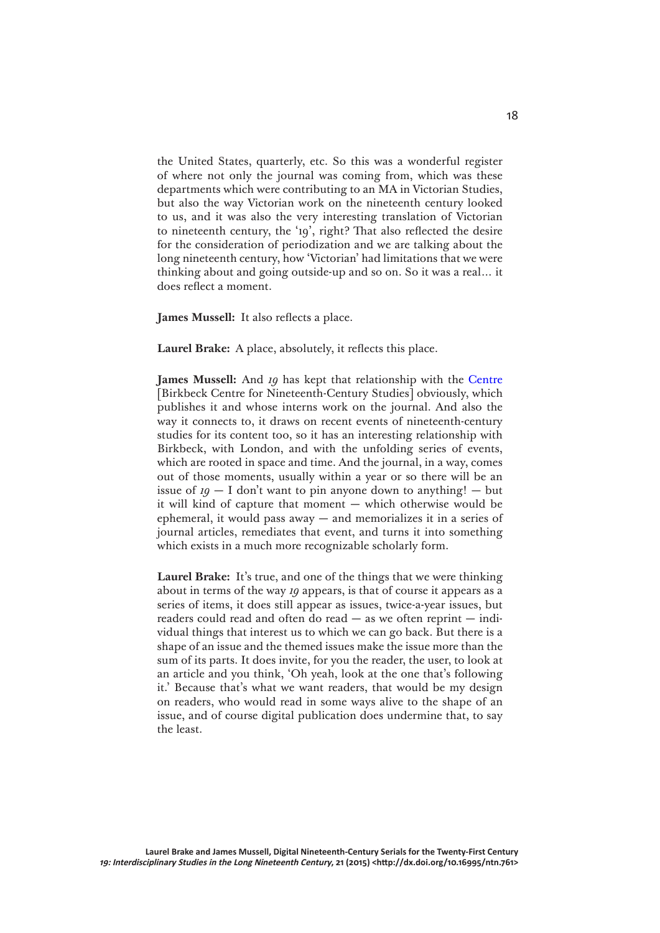the United States, quarterly, etc. So this was a wonderful register of where not only the journal was coming from, which was these departments which were contributing to an MA in Victorian Studies, but also the way Victorian work on the nineteenth century looked to us, and it was also the very interesting translation of Victorian to nineteenth century, the '19', right? That also reflected the desire for the consideration of periodization and we are talking about the long nineteenth century, how 'Victorian' had limitations that we were thinking about and going outside-up and so on. So it was a real… it does reflect a moment.

**James Mussell:** It also reflects a place.

**Laurel Brake:** A place, absolutely, it reflects this place.

**James Mussell:** And *19* has kept that relationship with the [Centre](http://www.cncs.bbk.ac.uk) [Birkbeck Centre for Nineteenth-Century Studies] obviously, which publishes it and whose interns work on the journal. And also the way it connects to, it draws on recent events of nineteenth-century studies for its content too, so it has an interesting relationship with Birkbeck, with London, and with the unfolding series of events, which are rooted in space and time. And the journal, in a way, comes out of those moments, usually within a year or so there will be an issue of  $19 - I$  don't want to pin anyone down to anything! — but it will kind of capture that moment — which otherwise would be ephemeral, it would pass away — and memorializes it in a series of journal articles, remediates that event, and turns it into something which exists in a much more recognizable scholarly form.

**Laurel Brake:** It's true, and one of the things that we were thinking about in terms of the way *19* appears, is that of course it appears as a series of items, it does still appear as issues, twice-a-year issues, but readers could read and often do read — as we often reprint — individual things that interest us to which we can go back. But there is a shape of an issue and the themed issues make the issue more than the sum of its parts. It does invite, for you the reader, the user, to look at an article and you think, 'Oh yeah, look at the one that's following it.' Because that's what we want readers, that would be my design on readers, who would read in some ways alive to the shape of an issue, and of course digital publication does undermine that, to say the least.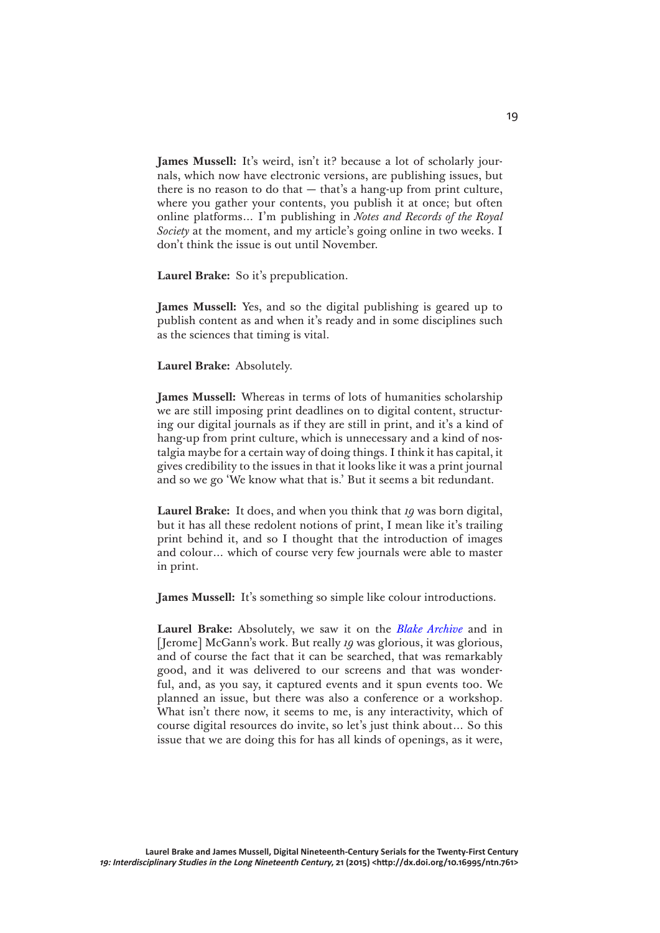**James Mussell:** It's weird, isn't it? because a lot of scholarly journals, which now have electronic versions, are publishing issues, but there is no reason to do that  $-$  that's a hang-up from print culture, where you gather your contents, you publish it at once; but often online platforms… I'm publishing in *Notes and Records of the Royal Society* at the moment, and my article's going online in two weeks. I don't think the issue is out until November.

**Laurel Brake:** So it's prepublication.

**James Mussell:** Yes, and so the digital publishing is geared up to publish content as and when it's ready and in some disciplines such as the sciences that timing is vital.

**Laurel Brake:** Absolutely.

**James Mussell:** Whereas in terms of lots of humanities scholarship we are still imposing print deadlines on to digital content, structuring our digital journals as if they are still in print, and it's a kind of hang-up from print culture, which is unnecessary and a kind of nostalgia maybe for a certain way of doing things. I think it has capital, it gives credibility to the issues in that it looks like it was a print journal and so we go 'We know what that is.' But it seems a bit redundant.

**Laurel Brake:** It does, and when you think that *19* was born digital, but it has all these redolent notions of print, I mean like it's trailing print behind it, and so I thought that the introduction of images and colour… which of course very few journals were able to master in print.

**James Mussell:** It's something so simple like colour introductions.

**Laurel Brake:** Absolutely, we saw it on the *[Blake Archive](http://www.blakearchive.org/)* and in [Jerome] McGann's work. But really *19* was glorious, it was glorious, and of course the fact that it can be searched, that was remarkably good, and it was delivered to our screens and that was wonderful, and, as you say, it captured events and it spun events too. We planned an issue, but there was also a conference or a workshop. What isn't there now, it seems to me, is any interactivity, which of course digital resources do invite, so let's just think about… So this issue that we are doing this for has all kinds of openings, as it were,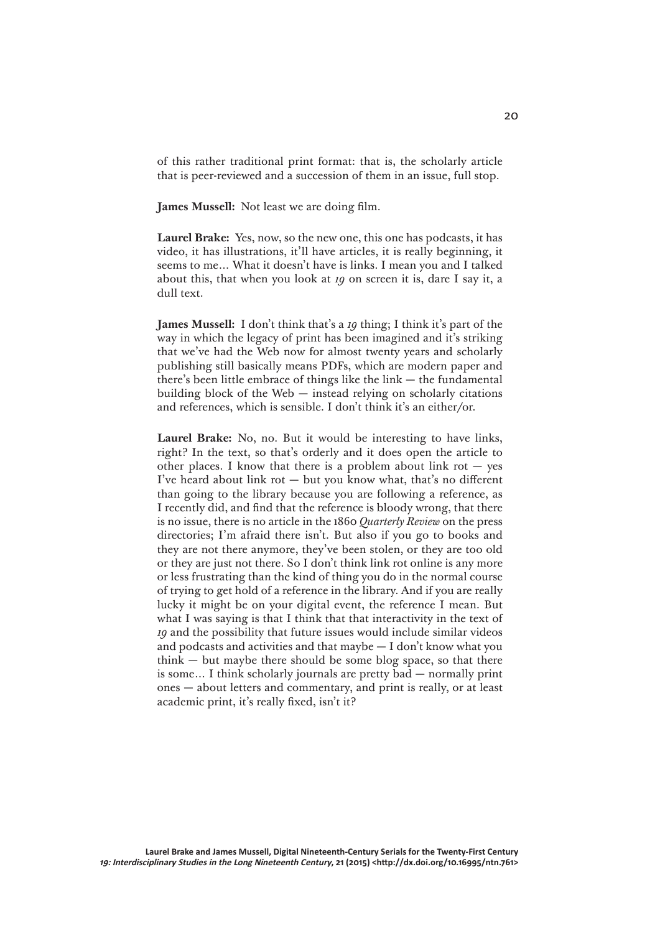of this rather traditional print format: that is, the scholarly article that is peer-reviewed and a succession of them in an issue, full stop.

**James Mussell:** Not least we are doing film.

**Laurel Brake:** Yes, now, so the new one, this one has podcasts, it has video, it has illustrations, it'll have articles, it is really beginning, it seems to me… What it doesn't have is links. I mean you and I talked about this, that when you look at *19* on screen it is, dare I say it, a dull text.

**James Mussell:** I don't think that's a *19* thing; I think it's part of the way in which the legacy of print has been imagined and it's striking that we've had the Web now for almost twenty years and scholarly publishing still basically means PDFs, which are modern paper and there's been little embrace of things like the link  $-$  the fundamental building block of the Web — instead relying on scholarly citations and references, which is sensible. I don't think it's an either/or.

**Laurel Brake:** No, no. But it would be interesting to have links, right? In the text, so that's orderly and it does open the article to other places. I know that there is a problem about link rot  $-$  yes I've heard about link rot  $-$  but you know what, that's no different than going to the library because you are following a reference, as I recently did, and find that the reference is bloody wrong, that there is no issue, there is no article in the 1860 *Quarterly Review* on the press directories; I'm afraid there isn't. But also if you go to books and they are not there anymore, they've been stolen, or they are too old or they are just not there. So I don't think link rot online is any more or less frustrating than the kind of thing you do in the normal course of trying to get hold of a reference in the library. And if you are really lucky it might be on your digital event, the reference I mean. But what I was saying is that I think that that interactivity in the text of *19* and the possibility that future issues would include similar videos and podcasts and activities and that maybe  $- I$  don't know what you  $think - but maybe there should be some blog space, so that there$ is some… I think scholarly journals are pretty bad — normally print ones — about letters and commentary, and print is really, or at least academic print, it's really fixed, isn't it?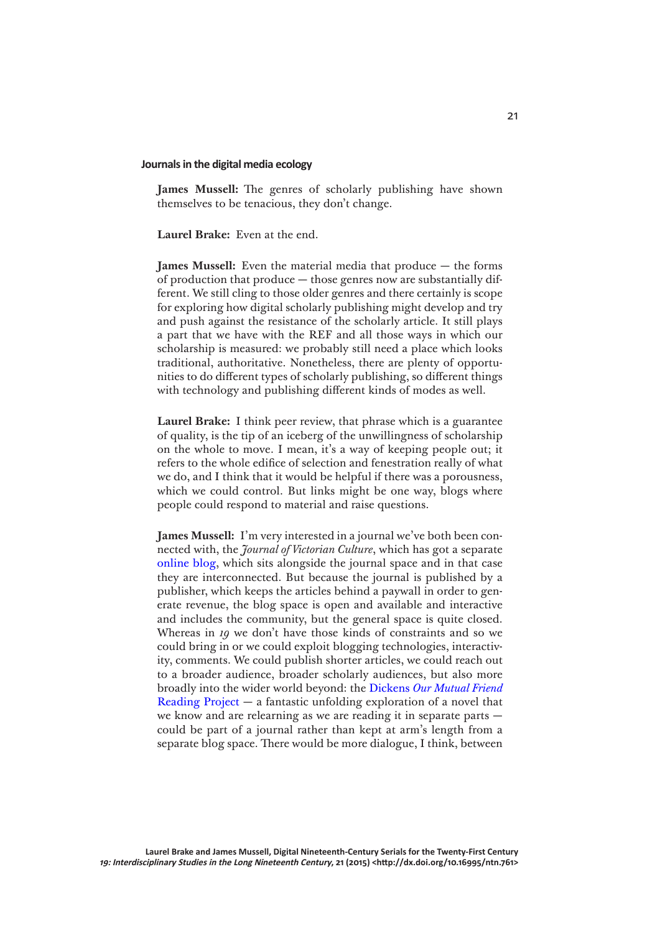#### **Journals in the digital media ecology**

**James Mussell:** The genres of scholarly publishing have shown themselves to be tenacious, they don't change.

**Laurel Brake:** Even at the end.

**James Mussell:** Even the material media that produce — the forms of production that produce — those genres now are substantially different. We still cling to those older genres and there certainly is scope for exploring how digital scholarly publishing might develop and try and push against the resistance of the scholarly article. It still plays a part that we have with the REF and all those ways in which our scholarship is measured: we probably still need a place which looks traditional, authoritative. Nonetheless, there are plenty of opportunities to do different types of scholarly publishing, so different things with technology and publishing different kinds of modes as well.

**Laurel Brake:** I think peer review, that phrase which is a guarantee of quality, is the tip of an iceberg of the unwillingness of scholarship on the whole to move. I mean, it's a way of keeping people out; it refers to the whole edifice of selection and fenestration really of what we do, and I think that it would be helpful if there was a porousness, which we could control. But links might be one way, blogs where people could respond to material and raise questions.

**James Mussell:** I'm very interested in a journal we've both been connected with, the *Journal of Victorian Culture*, which has got a separate [online blog,](http://blogs.tandf.co.uk/jvc/) which sits alongside the journal space and in that case they are interconnected. But because the journal is published by a publisher, which keeps the articles behind a paywall in order to generate revenue, the blog space is open and available and interactive and includes the community, but the general space is quite closed. Whereas in *19* we don't have those kinds of constraints and so we could bring in or we could exploit blogging technologies, interactivity, comments. We could publish shorter articles, we could reach out to a broader audience, broader scholarly audiences, but also more broadly into the wider world beyond: the Dickens *[Our Mutual Friend](https://dickensourmutualfriend.wordpress.com)* [Reading Project](https://dickensourmutualfriend.wordpress.com) — a fantastic unfolding exploration of a novel that we know and are relearning as we are reading it in separate parts could be part of a journal rather than kept at arm's length from a separate blog space. There would be more dialogue, I think, between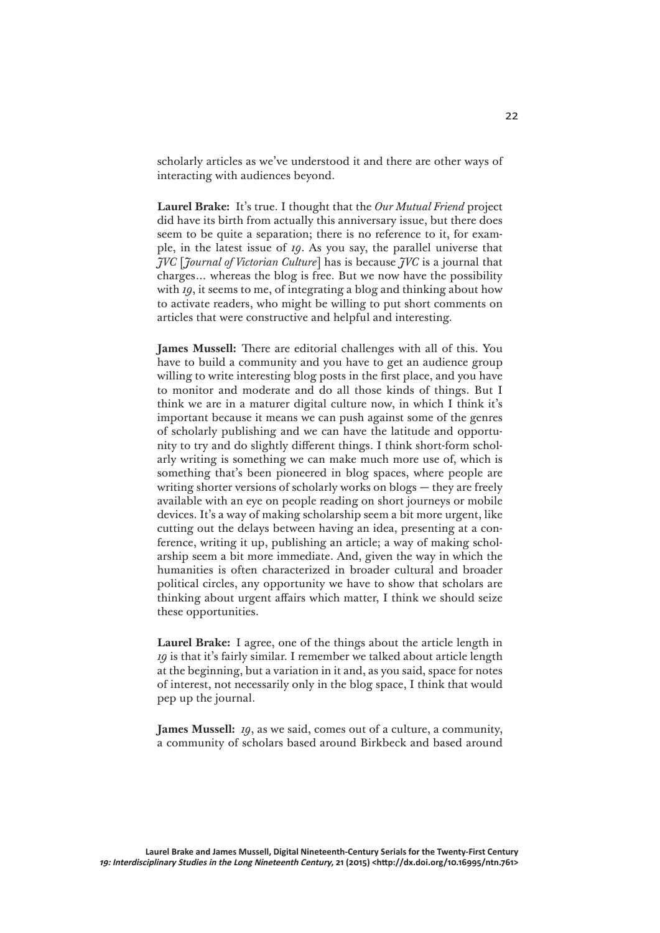scholarly articles as we've understood it and there are other ways of interacting with audiences beyond.

**Laurel Brake:** It's true. I thought that the *Our Mutual Friend* project did have its birth from actually this anniversary issue, but there does seem to be quite a separation; there is no reference to it, for example, in the latest issue of *19*. As you say, the parallel universe that *JVC* [*Journal of Victorian Culture*] has is because *JVC* is a journal that charges… whereas the blog is free. But we now have the possibility with *19*, it seems to me, of integrating a blog and thinking about how to activate readers, who might be willing to put short comments on articles that were constructive and helpful and interesting.

**James Mussell:** There are editorial challenges with all of this. You have to build a community and you have to get an audience group willing to write interesting blog posts in the first place, and you have to monitor and moderate and do all those kinds of things. But I think we are in a maturer digital culture now, in which I think it's important because it means we can push against some of the genres of scholarly publishing and we can have the latitude and opportunity to try and do slightly different things. I think short-form scholarly writing is something we can make much more use of, which is something that's been pioneered in blog spaces, where people are writing shorter versions of scholarly works on blogs — they are freely available with an eye on people reading on short journeys or mobile devices. It's a way of making scholarship seem a bit more urgent, like cutting out the delays between having an idea, presenting at a conference, writing it up, publishing an article; a way of making scholarship seem a bit more immediate. And, given the way in which the humanities is often characterized in broader cultural and broader political circles, any opportunity we have to show that scholars are thinking about urgent affairs which matter, I think we should seize these opportunities.

**Laurel Brake:** I agree, one of the things about the article length in *19* is that it's fairly similar. I remember we talked about article length at the beginning, but a variation in it and, as you said, space for notes of interest, not necessarily only in the blog space, I think that would pep up the journal.

**James Mussell:** *19*, as we said, comes out of a culture, a community, a community of scholars based around Birkbeck and based around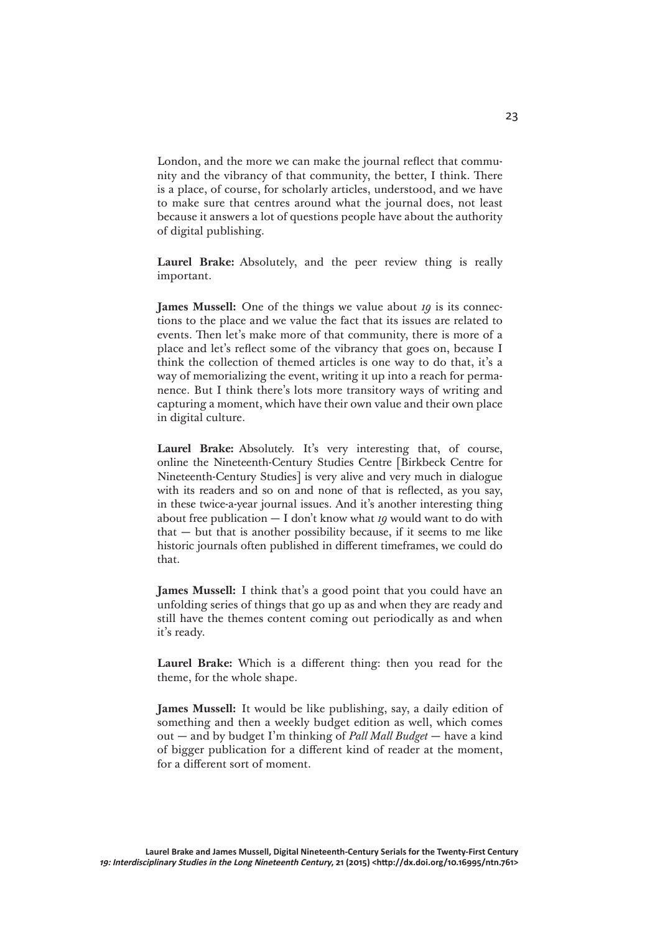London, and the more we can make the journal reflect that community and the vibrancy of that community, the better, I think. There is a place, of course, for scholarly articles, understood, and we have to make sure that centres around what the journal does, not least because it answers a lot of questions people have about the authority of digital publishing.

**Laurel Brake:** Absolutely, and the peer review thing is really important.

**James Mussell:** One of the things we value about *19* is its connections to the place and we value the fact that its issues are related to events. Then let's make more of that community, there is more of a place and let's reflect some of the vibrancy that goes on, because I think the collection of themed articles is one way to do that, it's a way of memorializing the event, writing it up into a reach for permanence. But I think there's lots more transitory ways of writing and capturing a moment, which have their own value and their own place in digital culture.

**Laurel Brake:** Absolutely. It's very interesting that, of course, online the Nineteenth-Century Studies Centre [Birkbeck Centre for Nineteenth-Century Studies] is very alive and very much in dialogue with its readers and so on and none of that is reflected, as you say, in these twice-a-year journal issues. And it's another interesting thing about free publication — I don't know what *19* would want to do with  $that - but that is another possibility because, if it seems to me like$ historic journals often published in different timeframes, we could do that.

**James Mussell:** I think that's a good point that you could have an unfolding series of things that go up as and when they are ready and still have the themes content coming out periodically as and when it's ready.

**Laurel Brake:** Which is a different thing: then you read for the theme, for the whole shape.

**James Mussell:** It would be like publishing, say, a daily edition of something and then a weekly budget edition as well, which comes out — and by budget I'm thinking of *Pall Mall Budget* — have a kind of bigger publication for a different kind of reader at the moment, for a different sort of moment.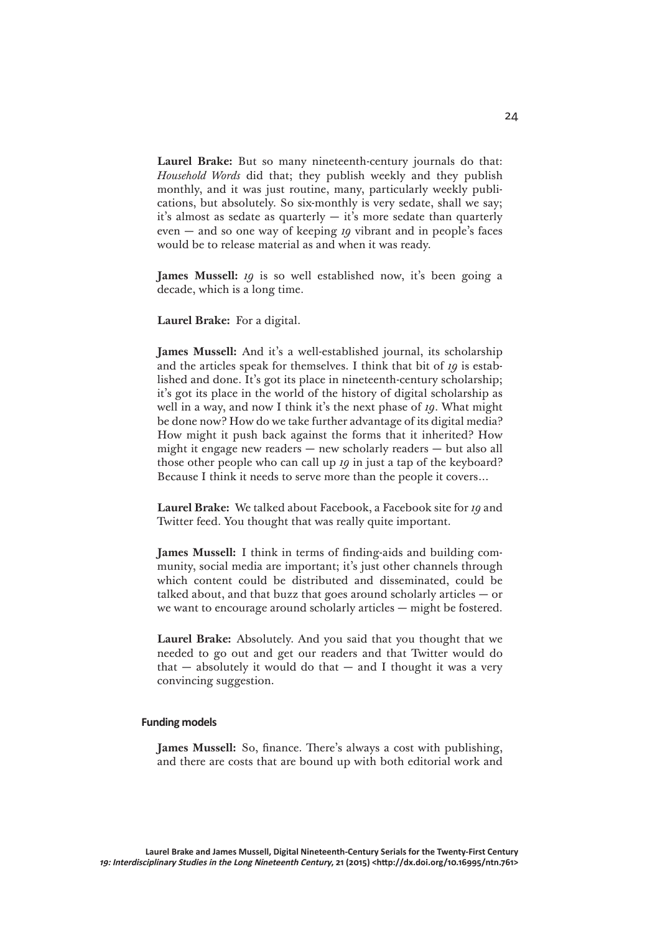**Laurel Brake:** But so many nineteenth-century journals do that: *Household Words* did that; they publish weekly and they publish monthly, and it was just routine, many, particularly weekly publications, but absolutely. So six-monthly is very sedate, shall we say; it's almost as sedate as quarterly — it's more sedate than quarterly even — and so one way of keeping *19* vibrant and in people's faces would be to release material as and when it was ready.

**James Mussell:** *19* is so well established now, it's been going a decade, which is a long time.

**Laurel Brake:** For a digital.

**James Mussell:** And it's a well-established journal, its scholarship and the articles speak for themselves. I think that bit of *19* is established and done. It's got its place in nineteenth-century scholarship; it's got its place in the world of the history of digital scholarship as well in a way, and now I think it's the next phase of *19*. What might be done now? How do we take further advantage of its digital media? How might it push back against the forms that it inherited? How might it engage new readers — new scholarly readers — but also all those other people who can call up *19* in just a tap of the keyboard? Because I think it needs to serve more than the people it covers…

**Laurel Brake:** We talked about Facebook, a Facebook site for *19* and Twitter feed. You thought that was really quite important.

**James Mussell:** I think in terms of finding-aids and building community, social media are important; it's just other channels through which content could be distributed and disseminated, could be talked about, and that buzz that goes around scholarly articles  $-$  or we want to encourage around scholarly articles — might be fostered.

**Laurel Brake:** Absolutely. And you said that you thought that we needed to go out and get our readers and that Twitter would do that  $-$  absolutely it would do that  $-$  and I thought it was a very convincing suggestion.

## **Funding models**

**James Mussell:** So, finance. There's always a cost with publishing, and there are costs that are bound up with both editorial work and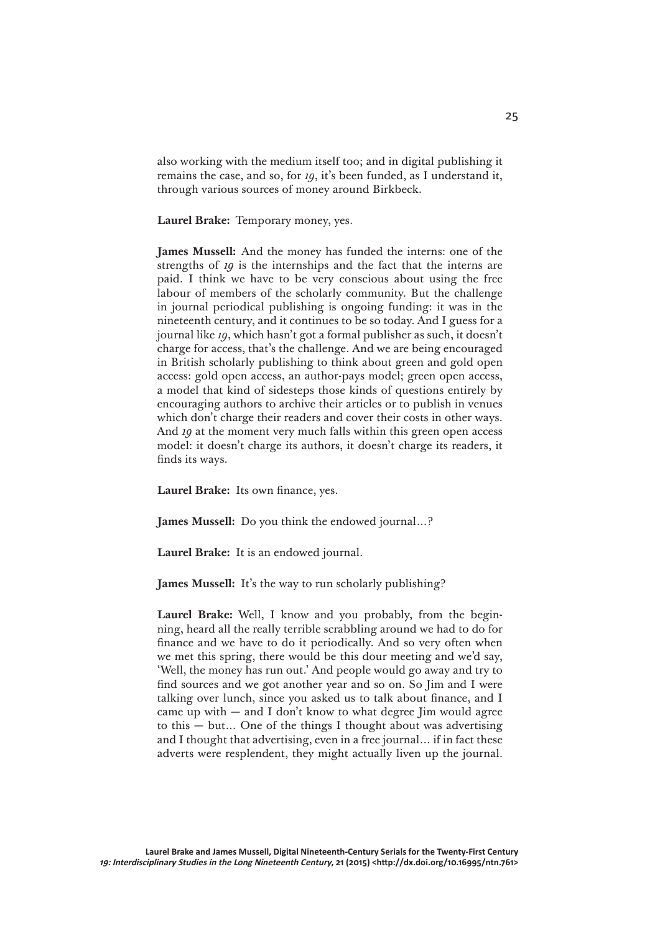also working with the medium itself too; and in digital publishing it remains the case, and so, for *19*, it's been funded, as I understand it, through various sources of money around Birkbeck.

**Laurel Brake:** Temporary money, yes.

**James Mussell:** And the money has funded the interns: one of the strengths of *19* is the internships and the fact that the interns are paid. I think we have to be very conscious about using the free labour of members of the scholarly community. But the challenge in journal periodical publishing is ongoing funding: it was in the nineteenth century, and it continues to be so today. And I guess for a journal like *19*, which hasn't got a formal publisher as such, it doesn't charge for access, that's the challenge. And we are being encouraged in British scholarly publishing to think about green and gold open access: gold open access, an author-pays model; green open access, a model that kind of sidesteps those kinds of questions entirely by encouraging authors to archive their articles or to publish in venues which don't charge their readers and cover their costs in other ways. And *19* at the moment very much falls within this green open access model: it doesn't charge its authors, it doesn't charge its readers, it finds its ways.

**Laurel Brake:** Its own finance, yes.

**James Mussell:** Do you think the endowed journal…?

**Laurel Brake:** It is an endowed journal.

**James Mussell:** It's the way to run scholarly publishing?

**Laurel Brake:** Well, I know and you probably, from the beginning, heard all the really terrible scrabbling around we had to do for finance and we have to do it periodically. And so very often when we met this spring, there would be this dour meeting and we'd say, 'Well, the money has run out.' And people would go away and try to find sources and we got another year and so on. So Jim and I were talking over lunch, since you asked us to talk about finance, and I came up with  $-$  and I don't know to what degree I im would agree to this — but… One of the things I thought about was advertising and I thought that advertising, even in a free journal… if in fact these adverts were resplendent, they might actually liven up the journal.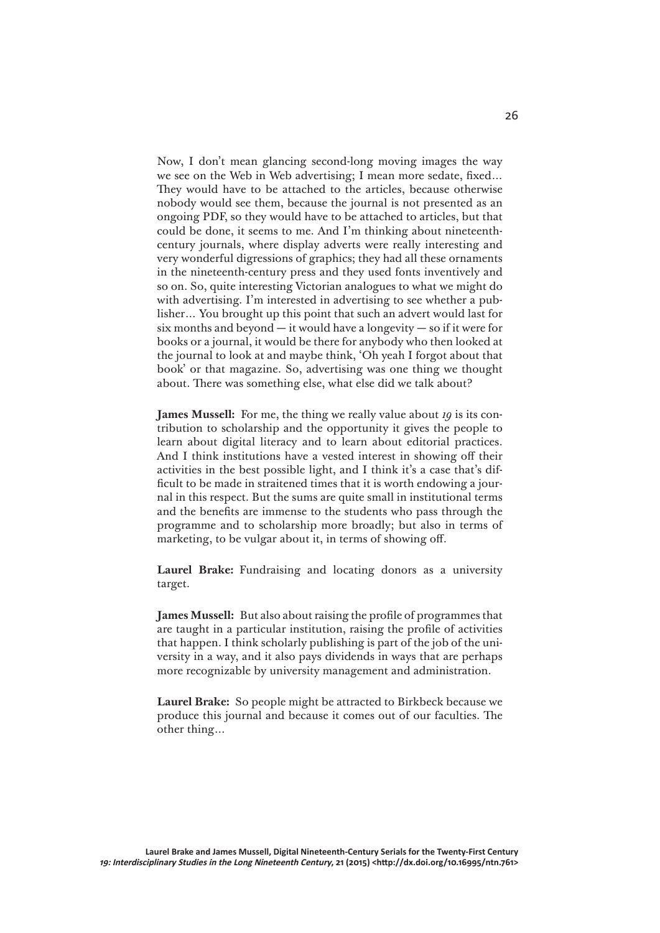Now, I don't mean glancing second-long moving images the way we see on the Web in Web advertising; I mean more sedate, fixed… They would have to be attached to the articles, because otherwise nobody would see them, because the journal is not presented as an ongoing PDF, so they would have to be attached to articles, but that could be done, it seems to me. And I'm thinking about nineteenthcentury journals, where display adverts were really interesting and very wonderful digressions of graphics; they had all these ornaments in the nineteenth-century press and they used fonts inventively and so on. So, quite interesting Victorian analogues to what we might do with advertising. I'm interested in advertising to see whether a publisher… You brought up this point that such an advert would last for six months and beyond  $-$  it would have a longevity  $-$  so if it were for books or a journal, it would be there for anybody who then looked at the journal to look at and maybe think, 'Oh yeah I forgot about that book' or that magazine. So, advertising was one thing we thought about. There was something else, what else did we talk about?

**James Mussell:** For me, the thing we really value about *19* is its contribution to scholarship and the opportunity it gives the people to learn about digital literacy and to learn about editorial practices. And I think institutions have a vested interest in showing off their activities in the best possible light, and I think it's a case that's difficult to be made in straitened times that it is worth endowing a journal in this respect. But the sums are quite small in institutional terms and the benefits are immense to the students who pass through the programme and to scholarship more broadly; but also in terms of marketing, to be vulgar about it, in terms of showing off.

**Laurel Brake:** Fundraising and locating donors as a university target.

**James Mussell:** But also about raising the profile of programmes that are taught in a particular institution, raising the profile of activities that happen. I think scholarly publishing is part of the job of the university in a way, and it also pays dividends in ways that are perhaps more recognizable by university management and administration.

**Laurel Brake:** So people might be attracted to Birkbeck because we produce this journal and because it comes out of our faculties. The other thing…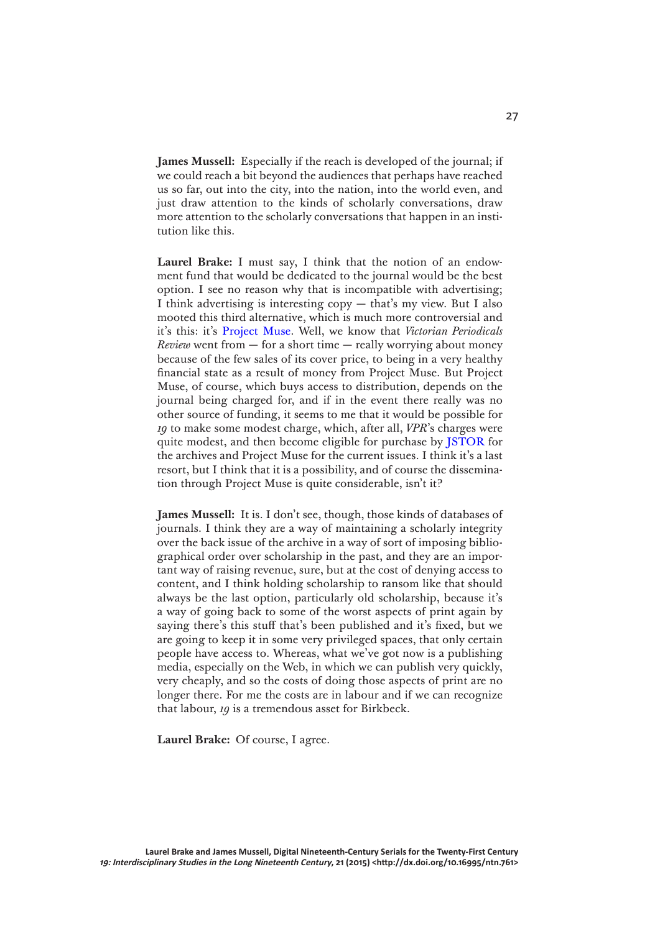**James Mussell:** Especially if the reach is developed of the journal; if we could reach a bit beyond the audiences that perhaps have reached us so far, out into the city, into the nation, into the world even, and just draw attention to the kinds of scholarly conversations, draw more attention to the scholarly conversations that happen in an institution like this.

**Laurel Brake:** I must say, I think that the notion of an endowment fund that would be dedicated to the journal would be the best option. I see no reason why that is incompatible with advertising; I think advertising is interesting copy — that's my view. But I also mooted this third alternative, which is much more controversial and it's this: it's [Project Muse](https://muse.jhu.edu). Well, we know that *Victorian Periodicals Review* went from  $-$  for a short time  $-$  really worrying about money because of the few sales of its cover price, to being in a very healthy financial state as a result of money from Project Muse. But Project Muse, of course, which buys access to distribution, depends on the journal being charged for, and if in the event there really was no other source of funding, it seems to me that it would be possible for *19* to make some modest charge, which, after all, *VPR*'s charges were quite modest, and then become eligible for purchase by [JSTOR](http://www.jstor.org) for the archives and Project Muse for the current issues. I think it's a last resort, but I think that it is a possibility, and of course the dissemination through Project Muse is quite considerable, isn't it?

**James Mussell:** It is. I don't see, though, those kinds of databases of journals. I think they are a way of maintaining a scholarly integrity over the back issue of the archive in a way of sort of imposing bibliographical order over scholarship in the past, and they are an important way of raising revenue, sure, but at the cost of denying access to content, and I think holding scholarship to ransom like that should always be the last option, particularly old scholarship, because it's a way of going back to some of the worst aspects of print again by saying there's this stuff that's been published and it's fixed, but we are going to keep it in some very privileged spaces, that only certain people have access to. Whereas, what we've got now is a publishing media, especially on the Web, in which we can publish very quickly, very cheaply, and so the costs of doing those aspects of print are no longer there. For me the costs are in labour and if we can recognize that labour, *19* is a tremendous asset for Birkbeck.

**Laurel Brake:** Of course, I agree.